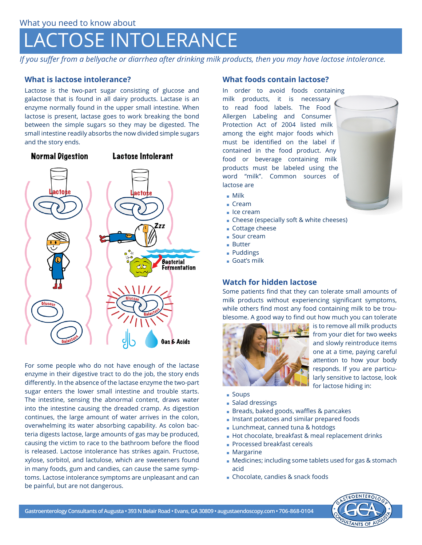# LACTOSE INTOLERANCE

*If you suffer from a bellyache or diarrhea after drinking milk products, then you may have lactose intolerance.*

## **What is lactose intolerance?**

Lactose is the two-part sugar consisting of glucose and galactose that is found in all dairy products. Lactase is an enzyme normally found in the upper small intestine. When lactose is present, lactase goes to work breaking the bond between the simple sugars so they may be digested. The small intestine readily absorbs the now divided simple sugars and the story ends.



For some people who do not have enough of the lactase enzyme in their digestive tract to do the job, the story ends differently. In the absence of the lactase enzyme the two-part sugar enters the lower small intestine and trouble starts. The intestine, sensing the abnormal content, draws water into the intestine causing the dreaded cramp. As digestion continues, the large amount of water arrives in the colon, overwhelming its water absorbing capability. As colon bacteria digests lactose, large amounts of gas may be produced, causing the victim to race to the bathroom before the flood is released. Lactose intolerance has strikes again. Fructose, xylose, sorbitol, and lactulose, which are sweeteners found in many foods, gum and candies, can cause the same symptoms. Lactose intolerance symptoms are unpleasant and can be painful, but are not dangerous.

### **What foods contain lactose?**

In order to avoid foods containing milk products, it is necessary to read food labels. The Food Allergen Labeling and Consumer Protection Act of 2004 listed milk among the eight major foods which must be identified on the label if contained in the food product. Any food or beverage containing milk products must be labeled using the word "milk". Common sources of lactose are



- ρ Milk
- ρ Cream
- Ice cream
- ρ Cheese (especially soft & white cheeses)
- Cottage cheese
- Sour cream
- ρ Butter
- Puddings
- ρ Goat's milk

## **Watch for hidden lactose**

Some patients find that they can tolerate small amounts of milk products without experiencing significant symptoms, while others find most any food containing milk to be troublesome. A good way to find out how much you can tolerate



is to remove all milk products from your diet for two weeks and slowly reintroduce items one at a time, paying careful attention to how your body responds. If you are particularly sensitive to lactose, look for lactose hiding in:

- Soups
- Salad dressings
- **Breads, baked goods, waffles & pancakes**
- **.** Instant potatoes and similar prepared foods
- **Lunchmeat, canned tuna & hotdogs**
- **Hot chocolate, breakfast & meal replacement drinks**
- **Processed breakfast cereals**
- Margarine
- **Medicines; including some tablets used for gas & stomach** acid
- **.** Chocolate, candies & snack foods